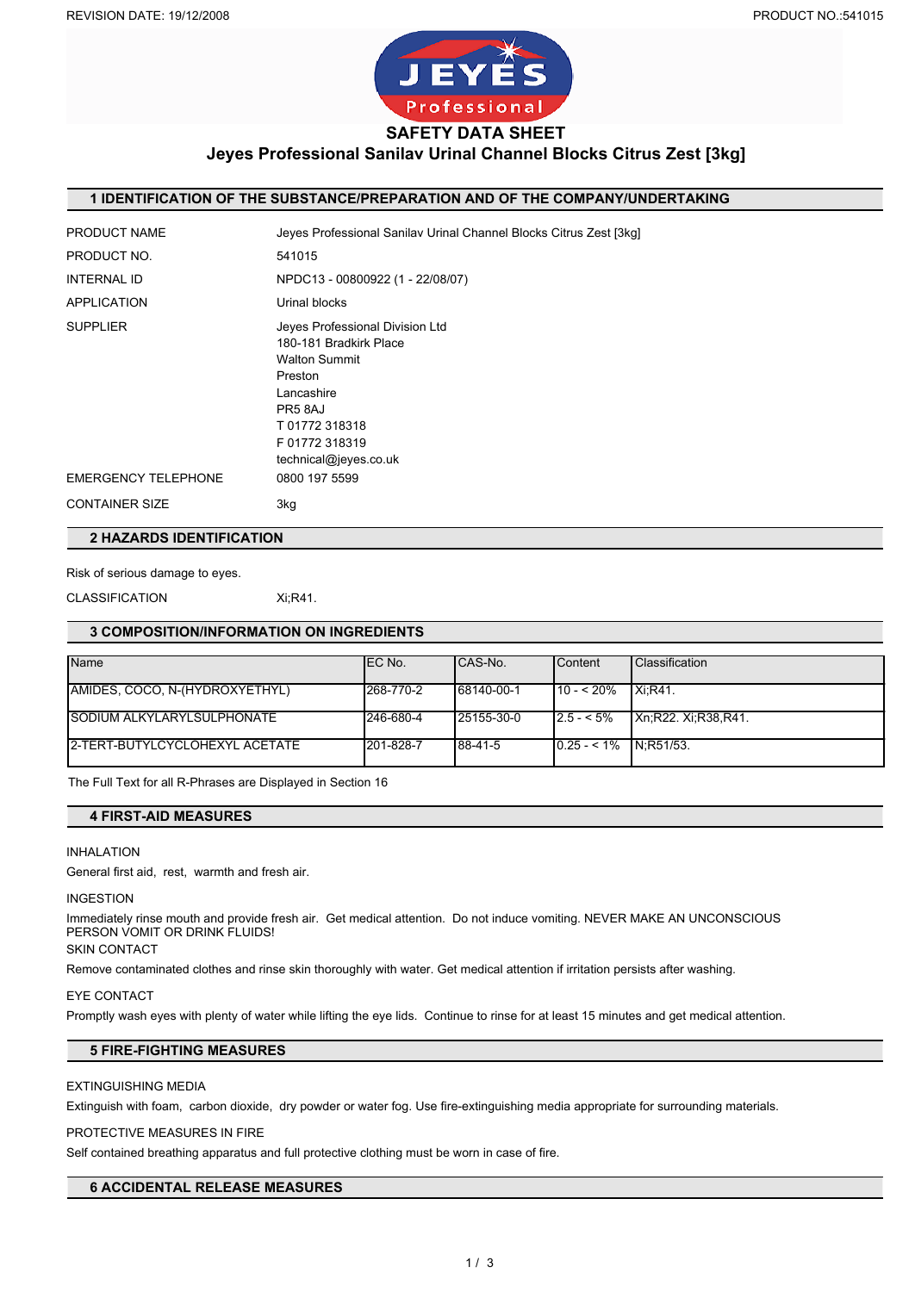

## **Jeyes Professional Sanilav Urinal Channel Blocks Citrus Zest [3kg]**

#### **1 IDENTIFICATION OF THE SUBSTANCE/PREPARATION AND OF THE COMPANY/UNDERTAKING**

| PRODUCT NAME               | Jeyes Professional Sanilav Urinal Channel Blocks Citrus Zest [3kg]                                                                                                            |
|----------------------------|-------------------------------------------------------------------------------------------------------------------------------------------------------------------------------|
| PRODUCT NO.                | 541015                                                                                                                                                                        |
| <b>INTERNAL ID</b>         | NPDC13 - 00800922 (1 - 22/08/07)                                                                                                                                              |
| <b>APPLICATION</b>         | Urinal blocks                                                                                                                                                                 |
| <b>SUPPLIER</b>            | Jeves Professional Division Ltd<br>180-181 Bradkirk Place<br><b>Walton Summit</b><br>Preston<br>Lancashire<br>PR58AJ<br>T01772318318<br>F01772318319<br>technical@jeyes.co.uk |
| <b>EMERGENCY TELEPHONE</b> | 0800 197 5599                                                                                                                                                                 |
| <b>CONTAINER SIZE</b>      | 3kg                                                                                                                                                                           |
|                            |                                                                                                                                                                               |

## **2 HAZARDS IDENTIFICATION**

#### Risk of serious damage to eyes.

CLASSIFICATION Xi;R41.

# **3 COMPOSITION/INFORMATION ON INGREDIENTS**

| Name                              | IEC No.   | ICAS-No.   | <b>Content</b>         | <b>Classification</b> |
|-----------------------------------|-----------|------------|------------------------|-----------------------|
|                                   |           |            |                        |                       |
| AMIDES, COCO, N-(HYDROXYETHYL)    | 268-770-2 | 68140-00-1 | $110 - 520%$           | <b>Xi:R41.</b>        |
|                                   |           |            |                        |                       |
| <b>SODIUM ALKYLARYLSULPHONATE</b> | 246-680-4 | 25155-30-0 | $2.5 - 5\%$            | IXn:R22. Xi:R38.R41.  |
|                                   |           |            |                        |                       |
| 2-TERT-BUTYLCYCLOHEXYL ACETATE    | 201-828-7 | 88-41-5    | $0.25 - 1\%$ N:R51/53. |                       |
|                                   |           |            |                        |                       |

The Full Text for all R-Phrases are Displayed in Section 16

#### **4 FIRST-AID MEASURES**

#### INHALATION

General first aid, rest, warmth and fresh air.

#### INGESTION

Immediately rinse mouth and provide fresh air. Get medical attention. Do not induce vomiting. NEVER MAKE AN UNCONSCIOUS PERSON VOMIT OR DRINK FLUIDS!

## SKIN CONTACT

Remove contaminated clothes and rinse skin thoroughly with water. Get medical attention if irritation persists after washing.

#### EYE CONTACT

Promptly wash eyes with plenty of water while lifting the eye lids. Continue to rinse for at least 15 minutes and get medical attention.

## **5 FIRE-FIGHTING MEASURES**

### EXTINGUISHING MEDIA

Extinguish with foam, carbon dioxide, dry powder or water fog. Use fire-extinguishing media appropriate for surrounding materials.

#### PROTECTIVE MEASURES IN FIRE

Self contained breathing apparatus and full protective clothing must be worn in case of fire.

## **6 ACCIDENTAL RELEASE MEASURES**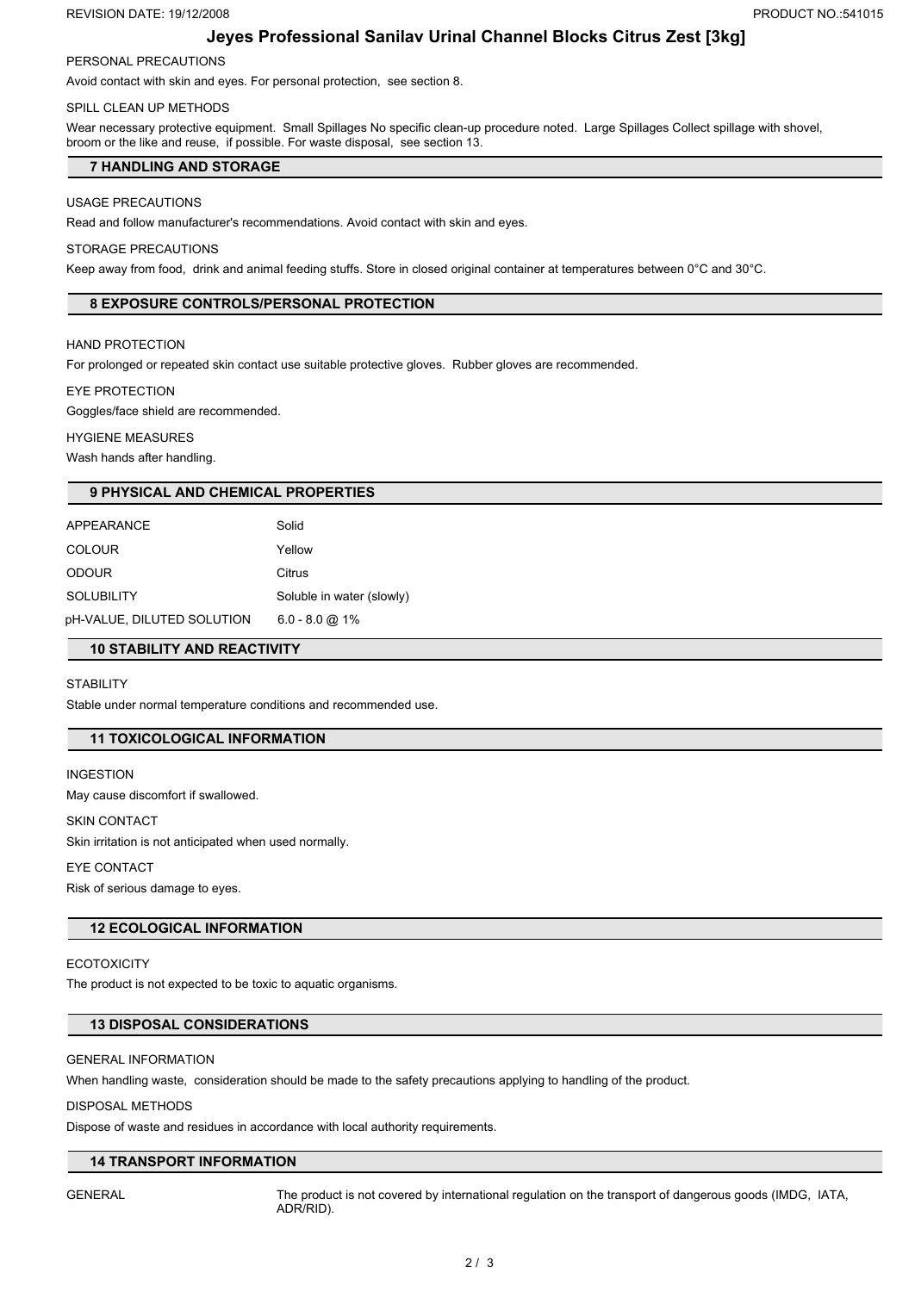#### REVISION DATE: 19/12/2008 **PRODUCT NO.:541015**

## **Jeyes Professional Sanilav Urinal Channel Blocks Citrus Zest [3kg]**

## PERSONAL PRECAUTIONS

Avoid contact with skin and eyes. For personal protection, see section 8.

## SPILL CLEAN UP METHODS

Wear necessary protective equipment. Small Spillages No specific clean-up procedure noted. Large Spillages Collect spillage with shovel, broom or the like and reuse, if possible. For waste disposal, see section 13.

### **7 HANDLING AND STORAGE**

#### USAGE PRECAUTIONS

Read and follow manufacturer's recommendations. Avoid contact with skin and eyes.

#### STORAGE PRECAUTIONS

Keep away from food, drink and animal feeding stuffs. Store in closed original container at temperatures between 0°C and 30°C.

## **8 EXPOSURE CONTROLS/PERSONAL PROTECTION**

#### HAND PROTECTION

For prolonged or repeated skin contact use suitable protective gloves. Rubber gloves are recommended.

#### EYE PROTECTION

Goggles/face shield are recommended.

#### HYGIENE MEASURES

Wash hands after handling.

#### **9 PHYSICAL AND CHEMICAL PROPERTIES**

| APPEARANCE                 | Solid                     |
|----------------------------|---------------------------|
| <b>COLOUR</b>              | Yellow                    |
| <b>ODOUR</b>               | Citrus                    |
| <b>SOLUBILITY</b>          | Soluble in water (slowly) |
| pH-VALUE, DILUTED SOLUTION | $6.0 - 8.0$ @ 1%          |

#### **10 STABILITY AND REACTIVITY**

#### **STABILITY**

Stable under normal temperature conditions and recommended use.

## **11 TOXICOLOGICAL INFORMATION**

INGESTION May cause discomfort if swallowed.

#### SKIN CONTACT

Skin irritation is not anticipated when used normally.

## EYE CONTACT

Risk of serious damage to eyes.

## **12 ECOLOGICAL INFORMATION**

**ECOTOXICITY** The product is not expected to be toxic to aquatic organisms.

### **13 DISPOSAL CONSIDERATIONS**

#### GENERAL INFORMATION

When handling waste, consideration should be made to the safety precautions applying to handling of the product.

#### DISPOSAL METHODS

Dispose of waste and residues in accordance with local authority requirements.

#### **14 TRANSPORT INFORMATION**

GENERAL The product is not covered by international regulation on the transport of dangerous goods (IMDG, IATA, ADR/RID).